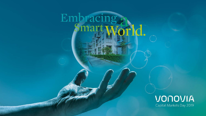# Embracing a

## VONOVIA Capital Markets Day 2019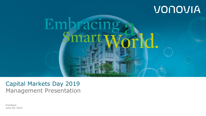# VONOVIA



Capital Markets Day 2019 Management Presentation

Frankfurt June 05, 2019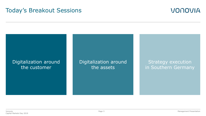## Today's Breakout Sessions



## Digitalization around the customer

Digitalization around the assets

Strategy execution in Southern Germany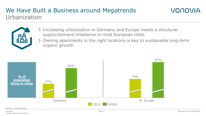## We Have Built a Business around Megatrends Urbanization

- Increasing urbanization in Germany and Europe meets a structural supply/demand imbalance in most European cities
- Owning apartments in the right locations is key to sustainable long-term organic growth



#### Sources: United Nations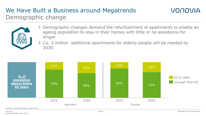## We Have Built a Business around Megatrends Demographic change



- Demographic changes demand the refurbishment of apartments to enable an ageing population to stay in their homes with little or no assistance for longer
- Ca. 3 million additional apartments for elderly people will be needed by 2030

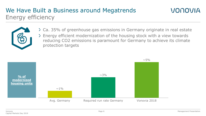## We Have Built a Business around Megatrends Energy efficiency



- Ca. 35% of greenhouse gas emissions in Germany originate in real estate
- Energy efficient modernization of the housing stock with a view towards reducing CO2 emissions is paramount for Germany to achieve its climate protection targets

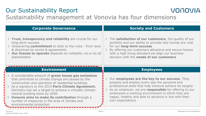## Our Sustainability Report



## Sustainability management at Vonovia has four dimensions

| <b>Corporate Governance</b>                                                                                                                                                                                                                                        | <b>Society and Customers</b>                                                                                                                                                                                                                                                                               |  |
|--------------------------------------------------------------------------------------------------------------------------------------------------------------------------------------------------------------------------------------------------------------------|------------------------------------------------------------------------------------------------------------------------------------------------------------------------------------------------------------------------------------------------------------------------------------------------------------|--|
| > Trust, transparency and reliability are crucial for our<br>long-term success<br>> Unwavering commitment to stick to the rules - from laws<br>& directives to norms & agreements<br>> Our license to operate depends on reliability vis-a-vis all<br>stakeholders | > The satisfaction of our customers, the quality of our<br>portfolio and our ability to provide new homes are vital<br>for our long-term success<br>By offering our customers attractive and secure homes<br>with a high living standard we align our business<br>decision with the needs of our customers |  |
| <b>Environment</b>                                                                                                                                                                                                                                                 | <b>Employees</b>                                                                                                                                                                                                                                                                                           |  |
|                                                                                                                                                                                                                                                                    |                                                                                                                                                                                                                                                                                                            |  |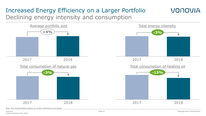## Increased Energy Efficiency on a Larger Portfolio Declining energy intensity and consumption



Note: See Sustainability Report for further definitions and details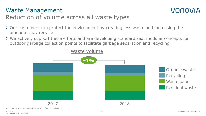## Waste Management



## Reduction of volume across all waste types

- Our customers can protect the environment by creating less waste and increasing the amounts they recycle
- We actively support these efforts and are developing standardized, modular concepts for outdoor garbage collection points to facilitate garbage separation and recycling

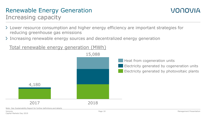# Renewable Energy Generation

## Increasing capacity

- Lower resource consumption and higher energy efficiency are important strategies for reducing greenhouse gas emissions
- > Increasing renewable energy sources and decentralized energy generation

Total renewable energy generation (MWh)

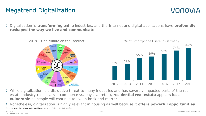## Megatrend Digitalization

Digitalization is **transforming** entire industries, and the Internet and digital applications have **profoundly reshaped the way we live and communicate**





- While digitalization is a disruptive threat to many industries and has severely impacted parts of the real estate industry (especially e-commerce vs. physical retail), **residential real estate** appears **less vulnerable** as people will continue to live in brick and mortar
- Nonetheless, digitalization is highly relevant in housing as well because it **offers powerful opportunities** Sources: [www.digitalinformationworld.com;](http://www.digitalinformationworld.com/) German Federal Statistics Office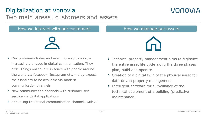## Digitalization at Vonovia Two main areas: customers and assets

### How we interact with our customers How we manage our assets

Our customers today and even more so tomorrow increasingly engage in digital communication. They order things online, are in touch with people around the world via facebook, Instagram etc.  $-$  they expect their landlord to be available via modern communication channels

- New communication channels with customer selfservice via digital applications
- Enhancing traditional communication channels with AI



- $\sum$  Creation of a digital twin of the physical asset for data-driven property management
- Intelligent software for surveillance of the technical equipment of a building (predictive maintenance)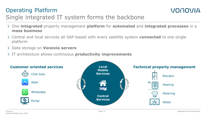## Operating Platform Single integrated IT system forms the backbone

- One **integrated** property management **platform** for **automated** and **integrated processes** in a **mass business**
- Central and local services all SAP-based with every satellite system **connected** to one single platform
- Data storage on **Vonovia servers**
- IT architecture allows continuous **productivity improvements**

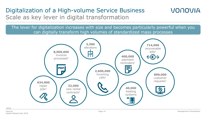## Digitalization of a High-volume Service Business Scale as key lever in digital transformation

The lever for digitalization increases with size and becomes particularly powerful when you can digitally transform high volumes of standardized mass processes



Vonovia

12018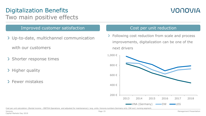## Digitalization Benefits Two main positive effects

## VONOVIA

#### Improved customer satisfaction The Cost per unit reduction

Up-to-date, multichannel communication

with our customers

- > Shorter response times
- $\geq$  Higher quality
- 0 Fewer mistakes

> Following cost reduction from scale and process improvements, digitalization can be one of the next drivers



Cost per unit calculation: (Rental income – EBITDA Operations and adjusted for maintenance) / avg. units. Vonovia numbers Germany only. DW excl. nursing segment.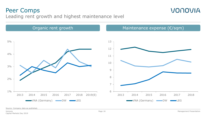## Peer Comps Leading rent growth and highest maintenance level

Organic rent growth  $O(\epsilon)$  Maintenance expense ( $\epsilon$ /sqm)  $1 %$ 2% 3% 4% 5% 2013 2014 2015 2016 2017 2018 2019(E)  $-VNA$  (Germany)  $\longrightarrow$  DW  $\longrightarrow$  LEG 6 7 8 9 10 11 12 13 2013 2014 2015 2016 2017 2018  $\rightarrow$ VNA (Germany)  $\rightarrow$ DW  $\rightarrow$ LEG

Source: Company data as published.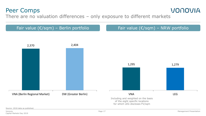## Peer Comps

## VONOVIA

There are no valuation differences – only exposure to different markets



Source: 2018 data as published.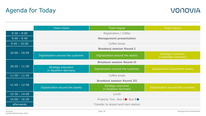## Agenda for Today

|                 | <b>Team Vision</b>                        | <b>Team Digital</b>                       | <b>Team Future</b>                               |
|-----------------|-------------------------------------------|-------------------------------------------|--------------------------------------------------|
| $8:30 - 9:00$   |                                           | Registration / Coffee                     |                                                  |
| $9:00 - 9:40$   | <b>Management presentation</b>            |                                           |                                                  |
| $9:40 - 10:00$  | Coffee break                              |                                           |                                                  |
|                 |                                           | <b>Breakout session Round I</b>           |                                                  |
| $10:00 - 10:45$ | Digitalization around the customer        | Digitalization around the assets          | <b>Strategy execution</b><br>in Southern Germany |
| $10:45 - 11:30$ |                                           | <b>Breakout session Round II</b>          |                                                  |
|                 | Strategy execution<br>in Southern Germany | Digitalization around the customer        | Digitalization around the assets                 |
| $11:30 - 11:45$ | Coffee break                              |                                           |                                                  |
|                 |                                           | <b>Breakout session Round III</b>         |                                                  |
| $11:45 - 12:30$ | Digitalization around the assets          | Strategy execution<br>in Southern Germany | Digitalization around the customer               |
| $12:30 - 14:00$ |                                           | Lunch                                     |                                                  |
| $14:00 - 16:30$ | Property Tour. Bus A● Bus B●              |                                           |                                                  |
| afterwards      |                                           | Transfer to airport and train station     |                                                  |